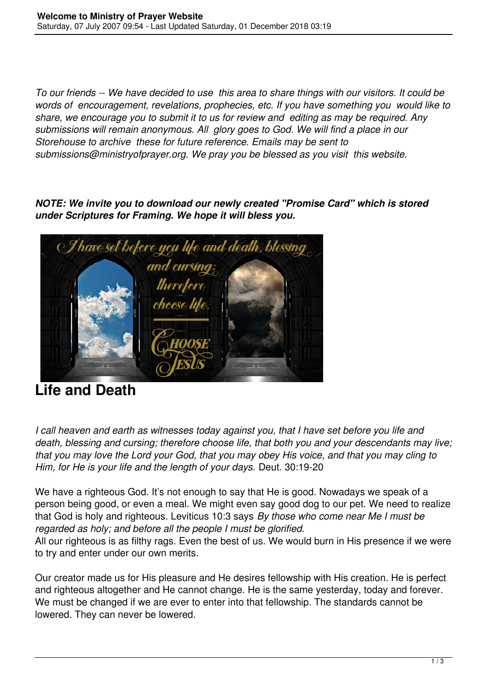*To our friends -- We have decided to use this area to share things with our visitors. It could be words of encouragement, revelations, prophecies, etc. If you have something you would like to share, we encourage you to submit it to us for review and editing as may be required. Any submissions will remain anonymous. All glory goes to God. We will find a place in our Storehouse to archive these for future reference. Emails may be sent to submissions@ministryofprayer.org. We pray you be blessed as you visit this website.*

*NOTE: We invite you to download our newly created "Promise Card" which is stored under Scriptures for Framing. We hope it will bless you.*



## **Life and Death**

*I call heaven and earth as witnesses today against you, that I have set before you life and death, blessing and cursing; therefore choose life, that both you and your descendants may live; that you may love the Lord your God, that you may obey His voice, and that you may cling to Him, for He is your life and the length of your days.* Deut. 30:19-20

We have a righteous God. It's not enough to say that He is good. Nowadays we speak of a person being good, or even a meal. We might even say good dog to our pet. We need to realize that God is holy and righteous. Leviticus 10:3 says *By those who come near Me I must be regarded as holy; and before all the people I must be glorified.* 

All our righteous is as filthy rags. Even the best of us. We would burn in His presence if we were to try and enter under our own merits.

Our creator made us for His pleasure and He desires fellowship with His creation. He is perfect and righteous altogether and He cannot change. He is the same yesterday, today and forever. We must be changed if we are ever to enter into that fellowship. The standards cannot be lowered. They can never be lowered.